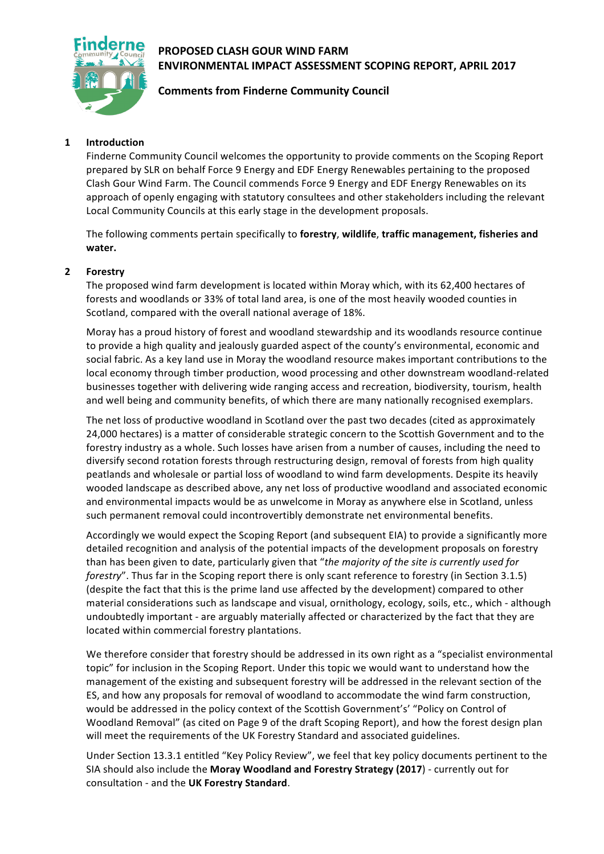## **PROPOSED CLASH GOUR WIND FARM ENVIRONMENTAL IMPACT ASSESSMENT SCOPING REPORT, APRIL 2017**



# **Comments from Finderne Community Council**

### **1 Introduction**

Finderne Community Council welcomes the opportunity to provide comments on the Scoping Report prepared by SLR on behalf Force 9 Energy and EDF Energy Renewables pertaining to the proposed Clash Gour Wind Farm. The Council commends Force 9 Energy and EDF Energy Renewables on its approach of openly engaging with statutory consultees and other stakeholders including the relevant Local Community Councils at this early stage in the development proposals.

The following comments pertain specifically to forestry, wildlife, traffic management, fisheries and **water.**

#### **2 Forestry**

The proposed wind farm development is located within Moray which, with its 62,400 hectares of forests and woodlands or 33% of total land area, is one of the most heavily wooded counties in Scotland, compared with the overall national average of 18%.

Moray has a proud history of forest and woodland stewardship and its woodlands resource continue to provide a high quality and jealously guarded aspect of the county's environmental, economic and social fabric. As a key land use in Moray the woodland resource makes important contributions to the local economy through timber production, wood processing and other downstream woodland-related businesses together with delivering wide ranging access and recreation, biodiversity, tourism, health and well being and community benefits, of which there are many nationally recognised exemplars.

The net loss of productive woodland in Scotland over the past two decades (cited as approximately 24,000 hectares) is a matter of considerable strategic concern to the Scottish Government and to the forestry industry as a whole. Such losses have arisen from a number of causes, including the need to diversify second rotation forests through restructuring design, removal of forests from high quality peatlands and wholesale or partial loss of woodland to wind farm developments. Despite its heavily wooded landscape as described above, any net loss of productive woodland and associated economic and environmental impacts would be as unwelcome in Moray as anywhere else in Scotland, unless such permanent removal could incontrovertibly demonstrate net environmental benefits.

Accordingly we would expect the Scoping Report (and subsequent EIA) to provide a significantly more detailed recognition and analysis of the potential impacts of the development proposals on forestry than has been given to date, particularly given that "the majority of the site is currently used for *forestry*". Thus far in the Scoping report there is only scant reference to forestry (in Section 3.1.5) (despite the fact that this is the prime land use affected by the development) compared to other material considerations such as landscape and visual, ornithology, ecology, soils, etc., which - although undoubtedly important - are arguably materially affected or characterized by the fact that they are located within commercial forestry plantations.

We therefore consider that forestry should be addressed in its own right as a "specialist environmental topic" for inclusion in the Scoping Report. Under this topic we would want to understand how the management of the existing and subsequent forestry will be addressed in the relevant section of the ES, and how any proposals for removal of woodland to accommodate the wind farm construction, would be addressed in the policy context of the Scottish Government's' "Policy on Control of Woodland Removal" (as cited on Page 9 of the draft Scoping Report), and how the forest design plan will meet the requirements of the UK Forestry Standard and associated guidelines.

Under Section 13.3.1 entitled "Key Policy Review", we feel that key policy documents pertinent to the SIA should also include the Moray Woodland and Forestry Strategy (2017) - currently out for consultation - and the UK Forestry Standard.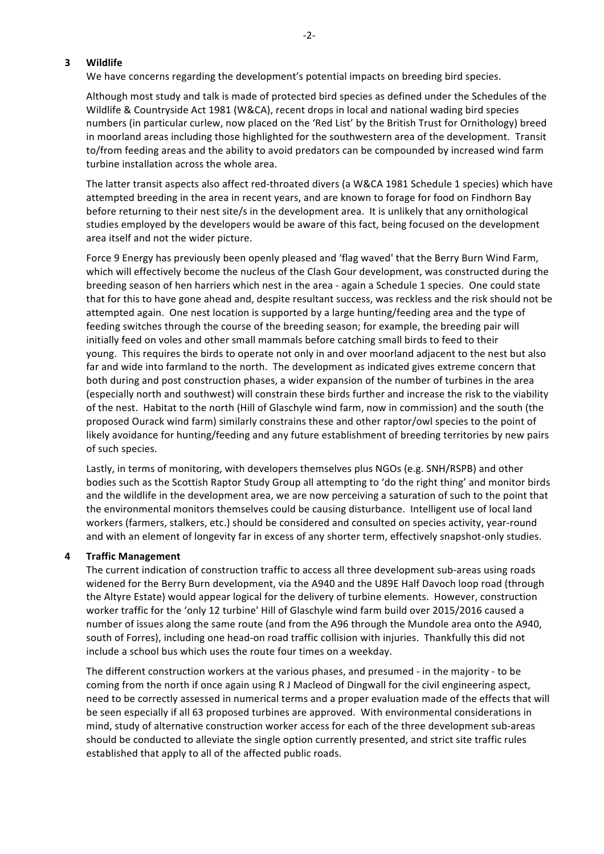#### **3 Wildlife**

We have concerns regarding the development's potential impacts on breeding bird species.

Although most study and talk is made of protected bird species as defined under the Schedules of the Wildlife & Countryside Act 1981 (W&CA), recent drops in local and national wading bird species numbers (in particular curlew, now placed on the 'Red List' by the British Trust for Ornithology) breed in moorland areas including those highlighted for the southwestern area of the development. Transit to/from feeding areas and the ability to avoid predators can be compounded by increased wind farm turbine installation across the whole area.

The latter transit aspects also affect red-throated divers (a W&CA 1981 Schedule 1 species) which have attempted breeding in the area in recent years, and are known to forage for food on Findhorn Bay before returning to their nest site/s in the development area. It is unlikely that any ornithological studies employed by the developers would be aware of this fact, being focused on the development area itself and not the wider picture.

Force 9 Energy has previously been openly pleased and 'flag waved' that the Berry Burn Wind Farm, which will effectively become the nucleus of the Clash Gour development, was constructed during the breeding season of hen harriers which nest in the area - again a Schedule 1 species. One could state that for this to have gone ahead and, despite resultant success, was reckless and the risk should not be attempted again. One nest location is supported by a large hunting/feeding area and the type of feeding switches through the course of the breeding season; for example, the breeding pair will initially feed on voles and other small mammals before catching small birds to feed to their young. This requires the birds to operate not only in and over moorland adjacent to the nest but also far and wide into farmland to the north. The development as indicated gives extreme concern that both during and post construction phases, a wider expansion of the number of turbines in the area (especially north and southwest) will constrain these birds further and increase the risk to the viability of the nest. Habitat to the north (Hill of Glaschyle wind farm, now in commission) and the south (the proposed Ourack wind farm) similarly constrains these and other raptor/owl species to the point of likely avoidance for hunting/feeding and any future establishment of breeding territories by new pairs of such species.

Lastly, in terms of monitoring, with developers themselves plus NGOs (e.g. SNH/RSPB) and other bodies such as the Scottish Raptor Study Group all attempting to 'do the right thing' and monitor birds and the wildlife in the development area, we are now perceiving a saturation of such to the point that the environmental monitors themselves could be causing disturbance. Intelligent use of local land workers (farmers, stalkers, etc.) should be considered and consulted on species activity, year-round and with an element of longevity far in excess of any shorter term, effectively snapshot-only studies.

#### **4 Traffic Management**

The current indication of construction traffic to access all three development sub-areas using roads widened for the Berry Burn development, via the A940 and the U89E Half Davoch loop road (through the Altyre Estate) would appear logical for the delivery of turbine elements. However, construction worker traffic for the 'only 12 turbine' Hill of Glaschyle wind farm build over 2015/2016 caused a number of issues along the same route (and from the A96 through the Mundole area onto the A940, south of Forres), including one head-on road traffic collision with injuries. Thankfully this did not include a school bus which uses the route four times on a weekday.

The different construction workers at the various phases, and presumed - in the majority - to be coming from the north if once again using R J Macleod of Dingwall for the civil engineering aspect, need to be correctly assessed in numerical terms and a proper evaluation made of the effects that will be seen especially if all 63 proposed turbines are approved. With environmental considerations in mind, study of alternative construction worker access for each of the three development sub-areas should be conducted to alleviate the single option currently presented, and strict site traffic rules established that apply to all of the affected public roads.